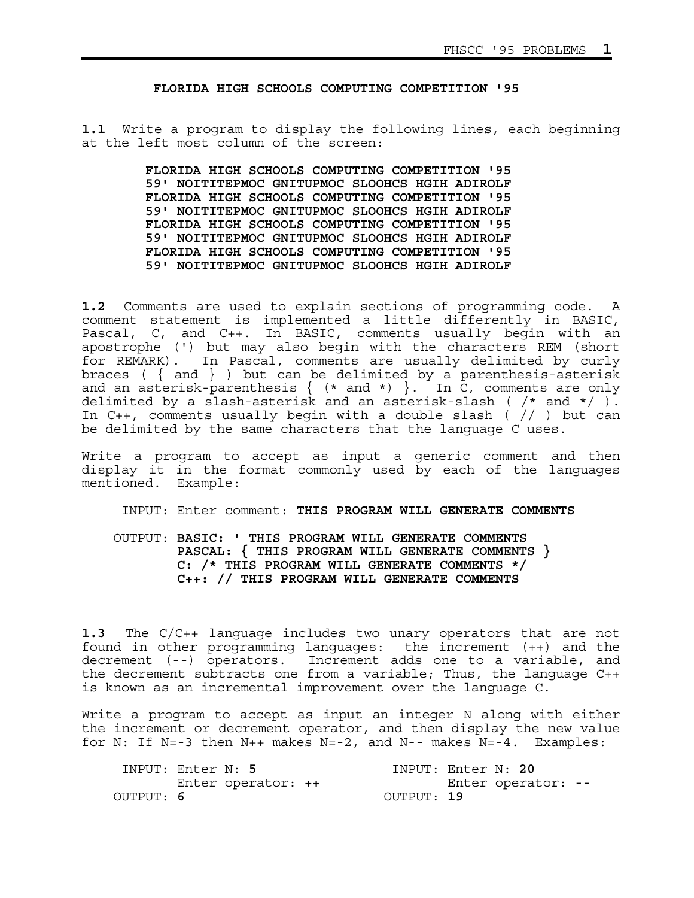**FLORIDA HIGH SCHOOLS COMPUTING COMPETITION '95** 

**1.1** Write a program to display the following lines, each beginning at the left most column of the screen:

> **FLORIDA HIGH SCHOOLS COMPUTING COMPETITION '95 59' NOITITEPMOC GNITUPMOC SLOOHCS HGIH ADIROLF FLORIDA HIGH SCHOOLS COMPUTING COMPETITION '95 59' NOITITEPMOC GNITUPMOC SLOOHCS HGIH ADIROLF FLORIDA HIGH SCHOOLS COMPUTING COMPETITION '95 59' NOITITEPMOC GNITUPMOC SLOOHCS HGIH ADIROLF FLORIDA HIGH SCHOOLS COMPUTING COMPETITION '95 59' NOITITEPMOC GNITUPMOC SLOOHCS HGIH ADIROLF**

**1.2** Comments are used to explain sections of programming code. A comment statement is implemented a little differently in BASIC, Pascal, C, and C++. In BASIC, comments usually begin with an apostrophe (') but may also begin with the characters REM (short for REMARK). In Pascal, comments are usually delimited by curly braces ( $\{$  and  $\}$  ) but can be delimited by a parenthesis-asterisk and an asterisk-parenthesis { (\* and \*) }. In C, comments are only delimited by a slash-asterisk and an asterisk-slash ( /\* and \*/ ). In C++, comments usually begin with a double slash ( // ) but can be delimited by the same characters that the language C uses.

Write a program to accept as input a generic comment and then display it in the format commonly used by each of the languages mentioned. Example:

INPUT: Enter comment: **THIS PROGRAM WILL GENERATE COMMENTS**

 OUTPUT: **BASIC: ' THIS PROGRAM WILL GENERATE COMMENTS PASCAL: { THIS PROGRAM WILL GENERATE COMMENTS } C: /\* THIS PROGRAM WILL GENERATE COMMENTS \*/ C++: // THIS PROGRAM WILL GENERATE COMMENTS** 

**1.3** The C/C++ language includes two unary operators that are not found in other programming languages: the increment (++) and the decrement (--) operators. Increment adds one to a variable, and the decrement subtracts one from a variable; Thus, the language C++ is known as an incremental improvement over the language C.

Write a program to accept as input an integer N along with either the increment or decrement operator, and then display the new value for N: If N=-3 then N++ makes N=-2, and N-- makes  $N=-4$ . Examples:

|           | INPUT: Enter N: 5  | INPUT: Enter N: 20 |                    |  |
|-----------|--------------------|--------------------|--------------------|--|
|           | Enter operator: ++ |                    | Enter operator: -- |  |
| OUTPUT: 6 |                    | OUTPUT: 19         |                    |  |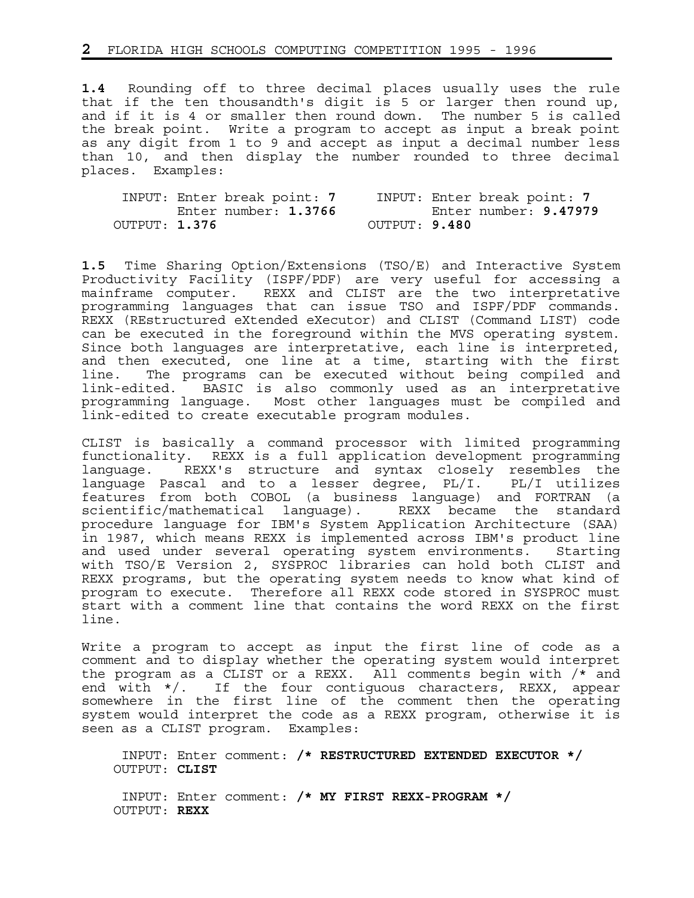**1.4** Rounding off to three decimal places usually uses the rule that if the ten thousandth's digit is 5 or larger then round up, and if it is 4 or smaller then round down. The number 5 is called the break point. Write a program to accept as input a break point as any digit from 1 to 9 and accept as input a decimal number less than 10, and then display the number rounded to three decimal places. Examples:

|               | INPUT: Enter break point: 7 |  | INPUT: Enter break point: 7 |                       |  |
|---------------|-----------------------------|--|-----------------------------|-----------------------|--|
|               | Enter number: 1.3766        |  |                             | Enter number: 9.47979 |  |
| OUTPUT: 1.376 |                             |  | OUTPUT: 9.480               |                       |  |

**1.5** Time Sharing Option/Extensions (TSO/E) and Interactive System Productivity Facility (ISPF/PDF) are very useful for accessing a mainframe computer. REXX and CLIST are the two interpretative programming languages that can issue TSO and ISPF/PDF commands. REXX (REstructured eXtended eXecutor) and CLIST (Command LIST) code can be executed in the foreground within the MVS operating system. Since both languages are interpretative, each line is interpreted, and then executed, one line at a time, starting with the first line. The programs can be executed without being compiled and link-edited. BASIC is also commonly used as an interpretative programming language. Most other languages must be compiled and link-edited to create executable program modules.

CLIST is basically a command processor with limited programming functionality. REXX is a full application development programming language. REXX's structure and syntax closely resembles the language Pascal and to a lesser degree, PL/I. PL/I utilizes features from both COBOL (a business language) and FORTRAN (a scientific/mathematical language). REXX became the standard procedure language for IBM's System Application Architecture (SAA) in 1987, which means REXX is implemented across IBM's product line and used under several operating system environments. Starting with TSO/E Version 2, SYSPROC libraries can hold both CLIST and REXX programs, but the operating system needs to know what kind of program to execute. Therefore all REXX code stored in SYSPROC must start with a comment line that contains the word REXX on the first line.

Write a program to accept as input the first line of code as a comment and to display whether the operating system would interpret the program as a CLIST or a REXX. All comments begin with /\* and end with \*/. If the four contiguous characters, REXX, appear somewhere in the first line of the comment then the operating system would interpret the code as a REXX program, otherwise it is seen as a CLIST program. Examples:

 INPUT: Enter comment: **/\* RESTRUCTURED EXTENDED EXECUTOR \*/** OUTPUT: **CLIST** INPUT: Enter comment: **/\* MY FIRST REXX-PROGRAM \*/** OUTPUT: **REXX**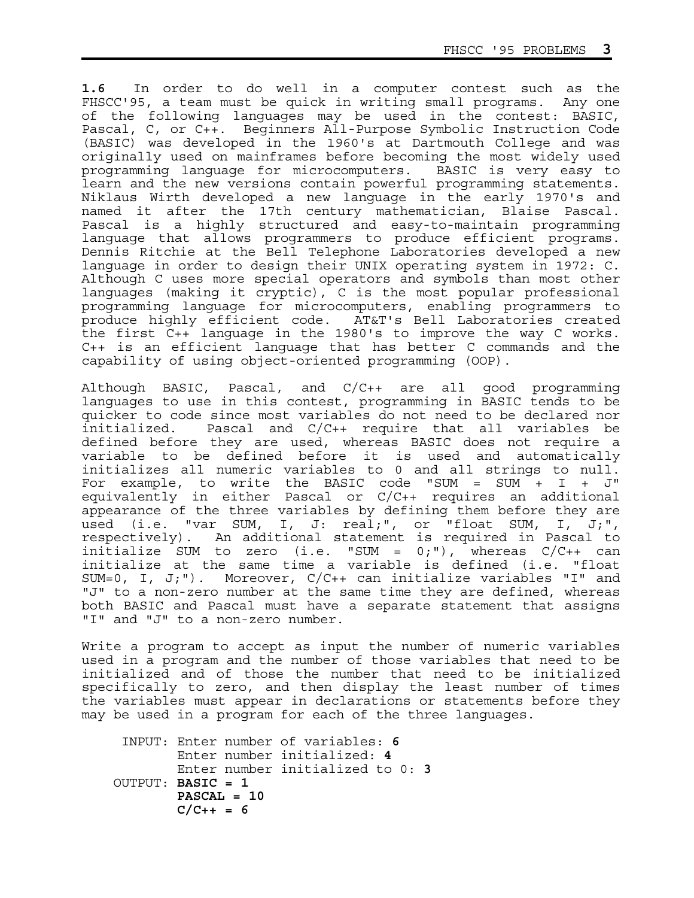**1.6** In order to do well in a computer contest such as the FHSCC'95, a team must be quick in writing small programs. Any one of the following languages may be used in the contest: BASIC, Pascal, C, or C++. Beginners All-Purpose Symbolic Instruction Code (BASIC) was developed in the 1960's at Dartmouth College and was originally used on mainframes before becoming the most widely used programming language for microcomputers. BASIC is very easy to learn and the new versions contain powerful programming statements. Niklaus Wirth developed a new language in the early 1970's and named it after the 17th century mathematician, Blaise Pascal. Pascal is a highly structured and easy-to-maintain programming language that allows programmers to produce efficient programs. Dennis Ritchie at the Bell Telephone Laboratories developed a new language in order to design their UNIX operating system in 1972: C. Although C uses more special operators and symbols than most other languages (making it cryptic), C is the most popular professional programming language for microcomputers, enabling programmers to produce highly efficient code. AT&T's Bell Laboratories created the first C++ language in the 1980's to improve the way C works. C++ is an efficient language that has better C commands and the capability of using object-oriented programming (OOP).

Although BASIC, Pascal, and C/C++ are all good programming languages to use in this contest, programming in BASIC tends to be quicker to code since most variables do not need to be declared nor initialized. Pascal and C/C++ require that all variables be defined before they are used, whereas BASIC does not require a variable to be defined before it is used and automatically initializes all numeric variables to 0 and all strings to null. For example, to write the BASIC code "SUM = SUM + I + J" equivalently in either Pascal or C/C++ requires an additional appearance of the three variables by defining them before they are used (i.e. "var SUM, I, J: real;", or "float SUM, I, J;", respectively). An additional statement is required in Pascal to initialize SUM to zero (i.e. "SUM =  $0;$ "), whereas  $C/C++$  can initialize at the same time a variable is defined (i.e. "float SUM=0, I, J;"). Moreover, C/C++ can initialize variables "I" and "J" to a non-zero number at the same time they are defined, whereas both BASIC and Pascal must have a separate statement that assigns "I" and "J" to a non-zero number.

Write a program to accept as input the number of numeric variables used in a program and the number of those variables that need to be initialized and of those the number that need to be initialized specifically to zero, and then display the least number of times the variables must appear in declarations or statements before they may be used in a program for each of the three languages.

 INPUT: Enter number of variables: **6** Enter number initialized: **4** Enter number initialized to 0: **3** OUTPUT: **BASIC = 1 PASCAL = 10**   $C/C_{++} = 6$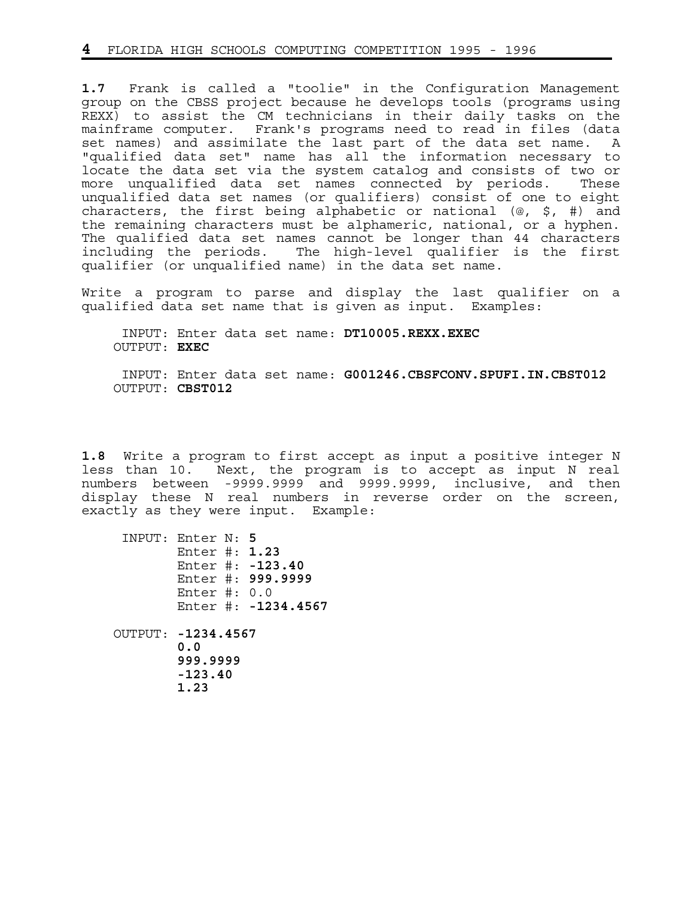**1.7** Frank is called a "toolie" in the Configuration Management group on the CBSS project because he develops tools (programs using REXX) to assist the CM technicians in their daily tasks on the mainframe computer. Frank's programs need to read in files (data set names) and assimilate the last part of the data set name. A "qualified data set" name has all the information necessary to locate the data set via the system catalog and consists of two or more unqualified data set names connected by periods. These unqualified data set names (or qualifiers) consist of one to eight characters, the first being alphabetic or national (@, \$, #) and the remaining characters must be alphameric, national, or a hyphen. The qualified data set names cannot be longer than 44 characters including the periods. The high-level qualifier is the first qualifier (or unqualified name) in the data set name.

Write a program to parse and display the last qualifier on a qualified data set name that is given as input. Examples:

 INPUT: Enter data set name: **DT10005.REXX.EXEC** OUTPUT: **EXEC**

 INPUT: Enter data set name: **G001246.CBSFCONV.SPUFI.IN.CBST012** OUTPUT: **CBST012**

**1.8** Write a program to first accept as input a positive integer N less than 10. Next, the program is to accept as input N real numbers between -9999.9999 and 9999.9999, inclusive, and then display these N real numbers in reverse order on the screen, exactly as they were input. Example:

| INPUT: Enter N: 5<br>Enter #: $1.23$<br>Enter #: $-123.40$<br>Enter $\#: 0.0$ | Enter #: 999.9999   |
|-------------------------------------------------------------------------------|---------------------|
| OUTPUT: -1234.4567<br>0.0<br>999.9999<br>$-123.40$<br>1.23                    | Enter #: -1234.4567 |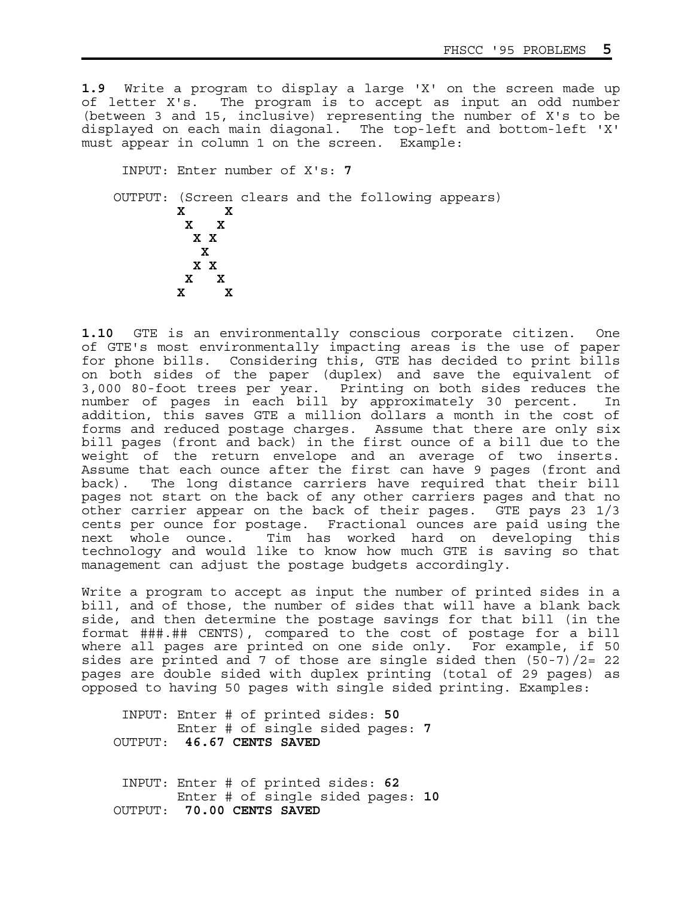**1.9** Write a program to display a large 'X' on the screen made up of letter X's. The program is to accept as input an odd number (between 3 and 15, inclusive) representing the number of X's to be displayed on each main diagonal. The top-left and bottom-left 'X' must appear in column 1 on the screen. Example:

 INPUT: Enter number of X's: **7** OUTPUT: (Screen clears and the following appears) **X X X X X X x**  $\mathbf{x}$  **X X x x x x** 

**1.10** GTE is an environmentally conscious corporate citizen. One of GTE's most environmentally impacting areas is the use of paper for phone bills. Considering this, GTE has decided to print bills on both sides of the paper (duplex) and save the equivalent of 3,000 80-foot trees per year. Printing on both sides reduces the number of pages in each bill by approximately 30 percent. In addition, this saves GTE a million dollars a month in the cost of forms and reduced postage charges. Assume that there are only six bill pages (front and back) in the first ounce of a bill due to the weight of the return envelope and an average of two inserts. Assume that each ounce after the first can have 9 pages (front and back). The long distance carriers have required that their bill pages not start on the back of any other carriers pages and that no other carrier appear on the back of their pages. GTE pays 23 1/3 cents per ounce for postage. Fractional ounces are paid using the next whole ounce. Tim has worked hard on developing this technology and would like to know how much GTE is saving so that management can adjust the postage budgets accordingly.

Write a program to accept as input the number of printed sides in a bill, and of those, the number of sides that will have a blank back side, and then determine the postage savings for that bill (in the format ###.## CENTS), compared to the cost of postage for a bill where all pages are printed on one side only. For example, if 50 sides are printed and 7 of those are single sided then  $(50-7)/2=22$ pages are double sided with duplex printing (total of 29 pages) as opposed to having 50 pages with single sided printing. Examples:

 INPUT: Enter # of printed sides: **50** Enter # of single sided pages: **7** OUTPUT: **46.67 CENTS SAVED**

 INPUT: Enter # of printed sides: **62** Enter # of single sided pages: **10** OUTPUT: **70.00 CENTS SAVED**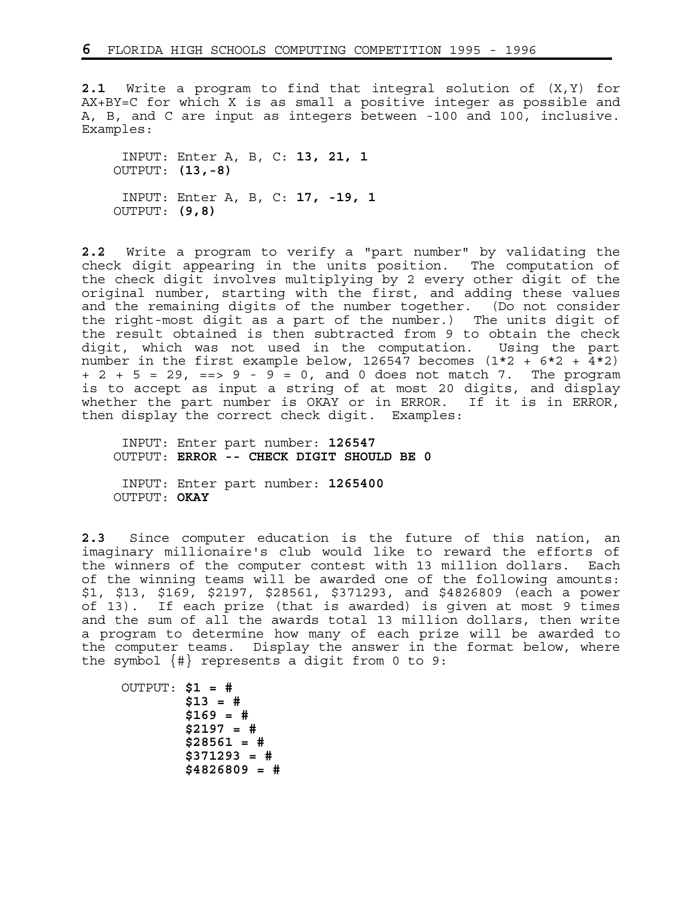**2.1** Write a program to find that integral solution of (X,Y) for AX+BY=C for which X is as small a positive integer as possible and A, B, and C are input as integers between -100 and 100, inclusive. Examples:

 INPUT: Enter A, B, C: **13, 21, 1** OUTPUT: **(13,-8)** INPUT: Enter A, B, C: **17, -19, 1** OUTPUT: **(9,8)**

**2.2** Write a program to verify a "part number" by validating the check digit appearing in the units position. The computation of the check digit involves multiplying by 2 every other digit of the original number, starting with the first, and adding these values and the remaining digits of the number together. (Do not consider the right-most digit as a part of the number.) The units digit of the result obtained is then subtracted from 9 to obtain the check digit, which was not used in the computation. Using the part number in the first example below, 126547 becomes  $(1*2 + 6*2 + 4*2)$ + 2 + 5 = 29, ==> 9 - 9 = 0, and 0 does not match 7. The program is to accept as input a string of at most 20 digits, and display whether the part number is OKAY or in ERROR. If it is in ERROR, then display the correct check digit. Examples:

 INPUT: Enter part number: **126547** OUTPUT: **ERROR -- CHECK DIGIT SHOULD BE 0**

 INPUT: Enter part number: **1265400** OUTPUT: **OKAY**

**2.3** Since computer education is the future of this nation, an imaginary millionaire's club would like to reward the efforts of the winners of the computer contest with 13 million dollars. Each of the winning teams will be awarded one of the following amounts: \$1, \$13, \$169, \$2197, \$28561, \$371293, and \$4826809 (each a power of 13). If each prize (that is awarded) is given at most 9 times and the sum of all the awards total 13 million dollars, then write a program to determine how many of each prize will be awarded to the computer teams. Display the answer in the format below, where the symbol  $\{ \# \}$  represents a digit from 0 to 9:

 OUTPUT: **\$1 = # \$13 = # \$169 = # \$2197 = # \$28561 = # \$371293 = # \$4826809 = #**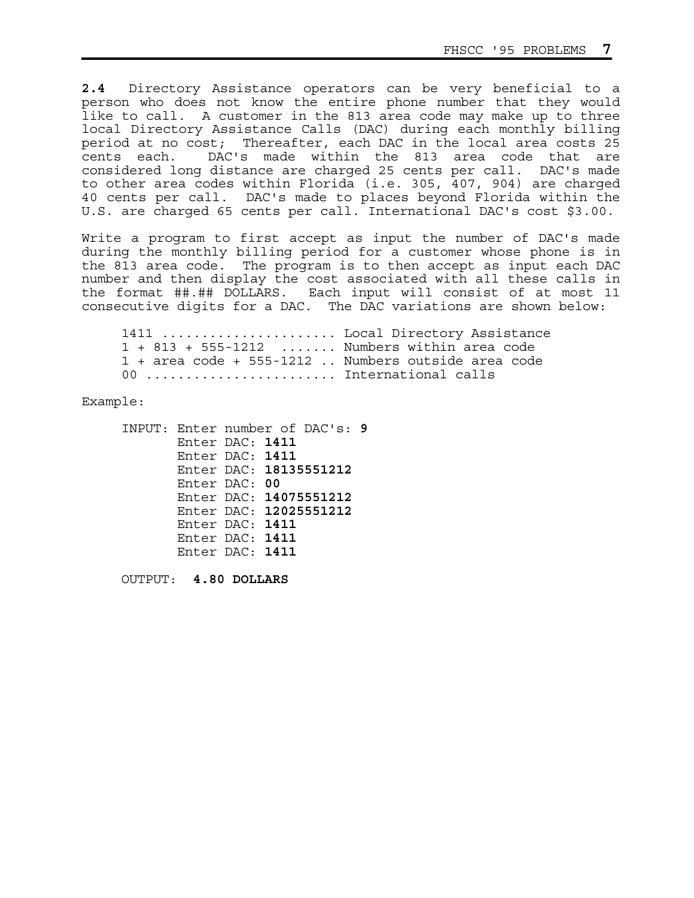**2.4** Directory Assistance operators can be very beneficial to a person who does not know the entire phone number that they would like to call. A customer in the 813 area code may make up to three local Directory Assistance Calls (DAC) during each monthly billing period at no cost; Thereafter, each DAC in the local area costs 25 cents each. DAC's made within the 813 area code that are considered long distance are charged 25 cents per call. DAC's made to other area codes within Florida (i.e. 305, 407, 904) are charged 40 cents per call. DAC's made to places beyond Florida within the U.S. are charged 65 cents per call. International DAC's cost \$3.00.

Write a program to first accept as input the number of DAC's made during the monthly billing period for a customer whose phone is in the 813 area code. The program is to then accept as input each DAC number and then display the cost associated with all these calls in the format ##.## DOLLARS. Each input will consist of at most 11 consecutive digits for a DAC. The DAC variations are shown below:

 1411 ...................... Local Directory Assistance 1 + 813 + 555-1212 ....... Numbers within area code 1 + area code + 555-1212 .. Numbers outside area code 00 .......................... International calls

Example:

 INPUT: Enter number of DAC's: **9** Enter DAC: **1411** Enter DAC: **1411** Enter DAC: **18135551212** Enter DAC: **00** Enter DAC: **14075551212** Enter DAC: **12025551212** Enter DAC: **1411** Enter DAC: **1411** Enter DAC: **1411**

OUTPUT: **4.80 DOLLARS**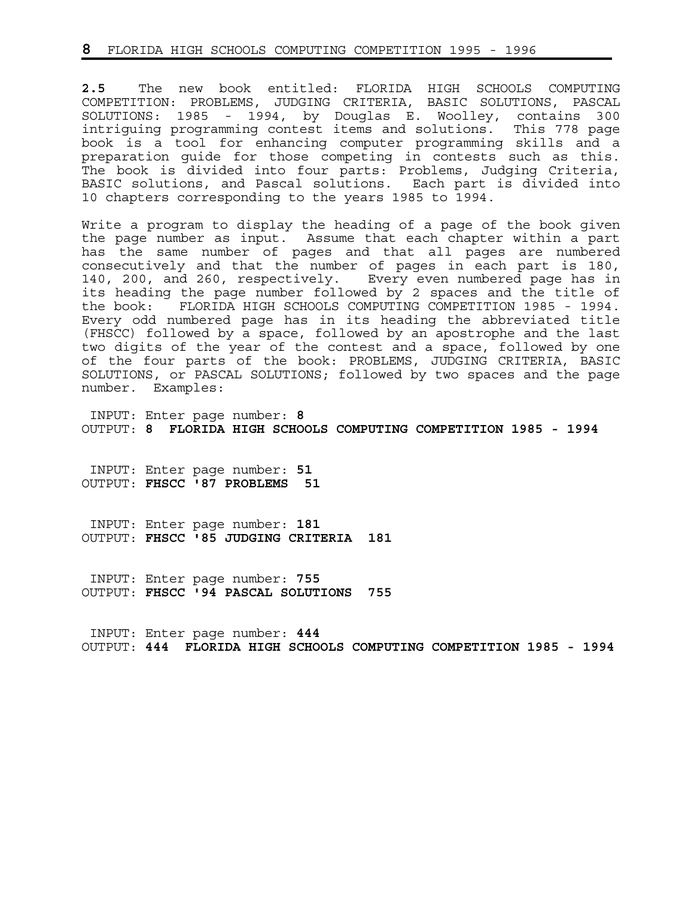**2.5** The new book entitled: FLORIDA HIGH SCHOOLS COMPUTING COMPETITION: PROBLEMS, JUDGING CRITERIA, BASIC SOLUTIONS, PASCAL SOLUTIONS: 1985 - 1994, by Douglas E. Woolley, contains 300 intriguing programming contest items and solutions. This 778 page book is a tool for enhancing computer programming skills and a preparation guide for those competing in contests such as this. The book is divided into four parts: Problems, Judging Criteria, BASIC solutions, and Pascal solutions. Each part is divided into 10 chapters corresponding to the years 1985 to 1994.

Write a program to display the heading of a page of the book given the page number as input. Assume that each chapter within a part has the same number of pages and that all pages are numbered consecutively and that the number of pages in each part is 180, 140, 200, and 260, respectively. Every even numbered page has in its heading the page number followed by 2 spaces and the title of the book: FLORIDA HIGH SCHOOLS COMPUTING COMPETITION 1985 - 1994. Every odd numbered page has in its heading the abbreviated title (FHSCC) followed by a space, followed by an apostrophe and the last two digits of the year of the contest and a space, followed by one of the four parts of the book: PROBLEMS, JUDGING CRITERIA, BASIC SOLUTIONS, or PASCAL SOLUTIONS; followed by two spaces and the page number. Examples:

 INPUT: Enter page number: **8** OUTPUT: **8 FLORIDA HIGH SCHOOLS COMPUTING COMPETITION 1985 - 1994**

 INPUT: Enter page number: **51** OUTPUT: **FHSCC '87 PROBLEMS 51**

 INPUT: Enter page number: **181** OUTPUT: **FHSCC '85 JUDGING CRITERIA 181**

 INPUT: Enter page number: **755** OUTPUT: **FHSCC '94 PASCAL SOLUTIONS 755**

 INPUT: Enter page number: **444** OUTPUT: **444 FLORIDA HIGH SCHOOLS COMPUTING COMPETITION 1985 - 1994**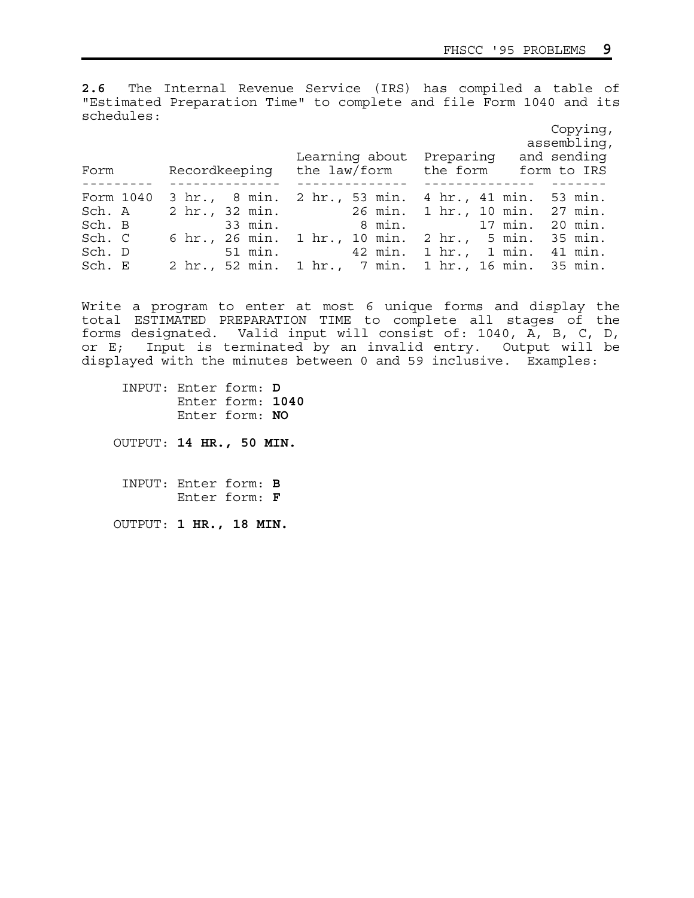**2.6** The Internal Revenue Service (IRS) has compiled a table of "Estimated Preparation Time" to complete and file Form 1040 and its schedules:

|           |                                                           | Copying,<br>assembling, |
|-----------|-----------------------------------------------------------|-------------------------|
|           | Learning about Preparing                                  | and sending             |
| Form      | Recordkeeping the law/form the form                       | form to IRS             |
| Form 1040 | 3 hr., 8 min. 2 hr., 53 min. 4 hr., 41 min. 53 min.       |                         |
| Sch. A    | 2 hr., 32 min. 26 min. 1 hr., 10 min. 27 min.             |                         |
| Sch. B    | 33 min. 8 min. 17 min. 20 min.                            |                         |
| Sch. C    | 6 hr., 26 min. 1 hr., 10 min. 2 hr., 5 min. 35 min.       |                         |
| Sch. D    | 51 min.               42 min.   1 hr.,   1 min.   41 min. |                         |
| Sch. E    | 2 hr., 52 min. 1 hr., 7 min. 1 hr., 16 min. 35 min.       |                         |

Write a program to enter at most 6 unique forms and display the total ESTIMATED PREPARATION TIME to complete all stages of the forms designated. Valid input will consist of: 1040, A, B, C, D, or E; Input is terminated by an invalid entry. Output will be displayed with the minutes between 0 and 59 inclusive. Examples:

 INPUT: Enter form: **D** Enter form: **1040** Enter form: **NO**

OUTPUT: **14 HR., 50 MIN.**

 INPUT: Enter form: **B** Enter form: **F**

OUTPUT: **1 HR., 18 MIN.**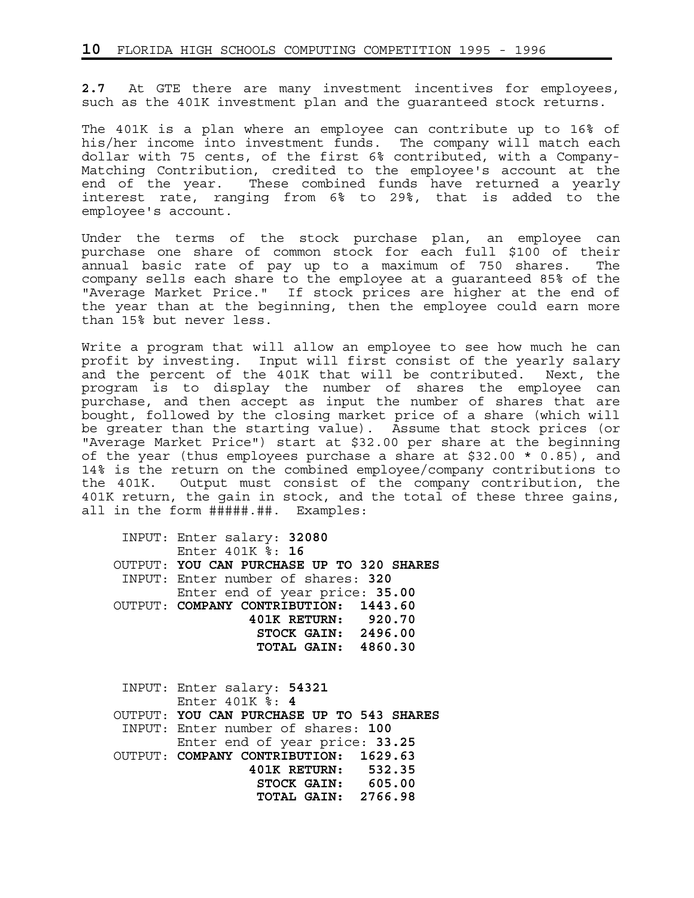**2.7** At GTE there are many investment incentives for employees, such as the 401K investment plan and the guaranteed stock returns.

The 401K is a plan where an employee can contribute up to 16% of his/her income into investment funds. The company will match each dollar with 75 cents, of the first 6% contributed, with a Company-Matching Contribution, credited to the employee's account at the end of the year. These combined funds have returned a yearly interest rate, ranging from 6% to 29%, that is added to the employee's account.

Under the terms of the stock purchase plan, an employee can purchase one share of common stock for each full \$100 of their annual basic rate of pay up to a maximum of 750 shares. The company sells each share to the employee at a guaranteed 85% of the "Average Market Price." If stock prices are higher at the end of the year than at the beginning, then the employee could earn more than 15% but never less.

Write a program that will allow an employee to see how much he can profit by investing. Input will first consist of the yearly salary and the percent of the 401K that will be contributed. Next, the program is to display the number of shares the employee can purchase, and then accept as input the number of shares that are bought, followed by the closing market price of a share (which will be greater than the starting value). Assume that stock prices (or "Average Market Price") start at \$32.00 per share at the beginning of the year (thus employees purchase a share at \$32.00 \* 0.85), and 14% is the return on the combined employee/company contributions to the 401K. Output must consist of the company contribution, the 401K return, the gain in stock, and the total of these three gains, all in the form #####.##. Examples:

 INPUT: Enter salary: **32080** Enter 401K %: **16** OUTPUT: **YOU CAN PURCHASE UP TO 320 SHARES** INPUT: Enter number of shares: **320** Enter end of year price: **35.00** OUTPUT: **COMPANY CONTRIBUTION: 1443.60 401K RETURN: 920.70 STOCK GAIN: 2496.00 TOTAL GAIN: 4860.30**

 INPUT: Enter salary: **54321** Enter 401K %: **4** OUTPUT: **YOU CAN PURCHASE UP TO 543 SHARES** INPUT: Enter number of shares: **100** Enter end of year price: **33.25** OUTPUT: **COMPANY CONTRIBUTION: 1629.63 401K RETURN: 532.35 STOCK GAIN: 605.00 TOTAL GAIN: 2766.98**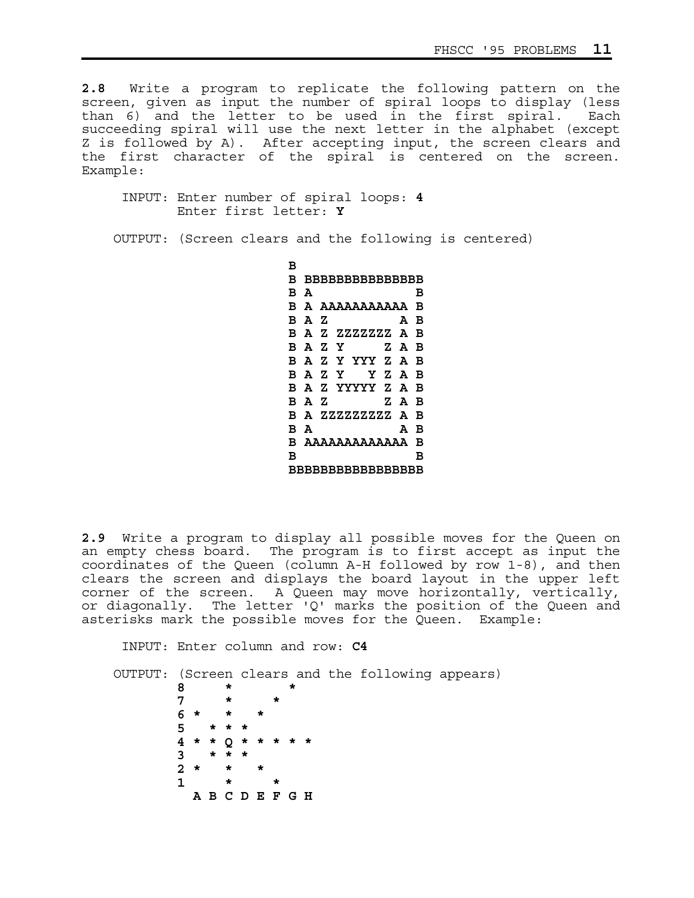**2.8** Write a program to replicate the following pattern on the screen, given as input the number of spiral loops to display (less than 6) and the letter to be used in the first spiral. Each succeeding spiral will use the next letter in the alphabet (except Z is followed by A). After accepting input, the screen clears and the first character of the spiral is centered on the screen. Example:

 INPUT: Enter number of spiral loops: **4** Enter first letter: **Y**

OUTPUT: (Screen clears and the following is centered)

 **B B BBBBBBBBBBBBBBB B A** B  **B A AAAAAAAAAAA B B A Z A B B A Z ZZZZZZZ A B B A Z Y Z A B B A Z Y YYY Z A B B A Z Y Y Z A B B A Z YYYYY Z A B B A Z Z A B B A ZZZZZZZZZ A B B A A B B AAAAAAAAAAAAA B B** B B  **BBBBBBBBBBBBBBBBB** 

**2.9** Write a program to display all possible moves for the Queen on an empty chess board. The program is to first accept as input the coordinates of the Queen (column A-H followed by row 1-8), and then clears the screen and displays the board layout in the upper left corner of the screen. A Queen may move horizontally, vertically, or diagonally. The letter 'Q' marks the position of the Queen and asterisks mark the possible moves for the Queen. Example:

INPUT: Enter column and row: **C4**

 OUTPUT: (Screen clears and the following appears) **8 \* \* 7 \* \* 6 \* \* \* 5 \* \* \* 4 \* \* Q \* \* \* \* \* 3 \* \* \* 2 \* \* \* 1** \* \*  **A B C D E F G H**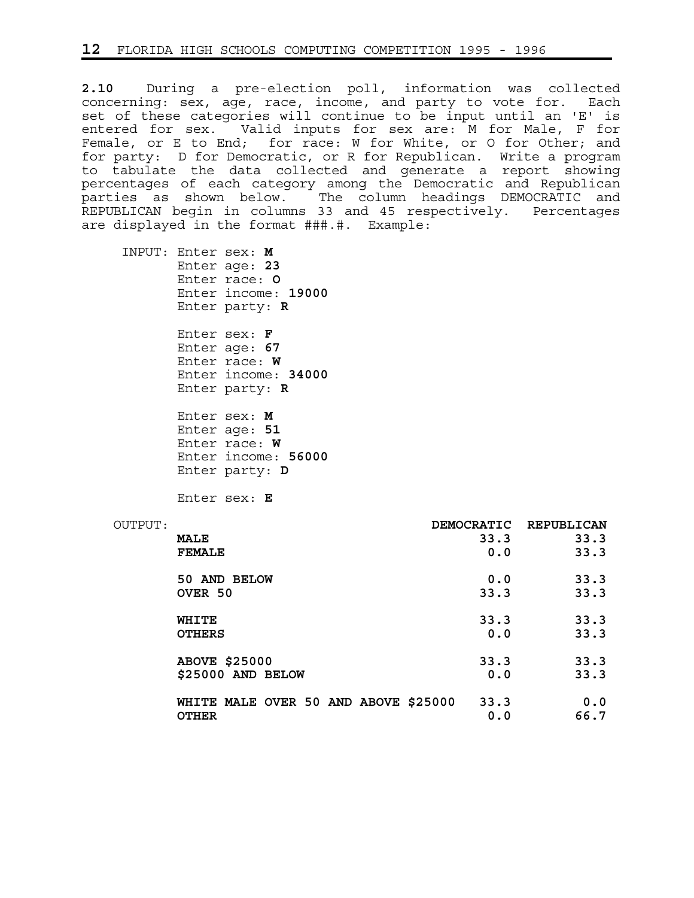**2.10** During a pre-election poll, information was collected concerning: sex, age, race, income, and party to vote for. Each set of these categories will continue to be input until an 'E' is entered for sex. Valid inputs for sex are: M for Male, F for Female, or E to End; for race: W for White, or O for Other; and for party: D for Democratic, or R for Republican. Write a program to tabulate the data collected and generate a report showing percentages of each category among the Democratic and Republican parties as shown below. The column headings DEMOCRATIC and REPUBLICAN begin in columns 33 and 45 respectively. Percentages are displayed in the format ###.#. Example:

 INPUT: Enter sex: **M** Enter age: **23** Enter race: **O** Enter income: **19000** Enter party: **R**

> Enter sex: **F** Enter age: **67** Enter race: **W** Enter income: **34000** Enter party: **R**

> Enter sex: **M** Enter age: **51** Enter race: **W** Enter income: **56000** Enter party: **D**

Enter sex: **E**

| OUTPUT: |                                      | <b>DEMOCRATIC</b> | REPUBLICAN |
|---------|--------------------------------------|-------------------|------------|
|         | <b>MALE</b>                          | 33.3              | 33.3       |
|         | <b>FEMALE</b>                        | 0.0               | 33.3       |
|         | 50 AND BELOW                         | 0.0               | 33.3       |
|         | OVER 50                              | 33.3              | 33.3       |
|         | WHITE                                | 33.3              | 33.3       |
|         | <b>OTHERS</b>                        | 0.0               | 33.3       |
|         | <b>ABOVE \$25000</b>                 | 33.3              | 33.3       |
|         | \$25000 AND BELOW                    | 0.0               | 33.3       |
|         | WHITE MALE OVER 50 AND ABOVE \$25000 | 33.3              | 0.0        |
|         | <b>OTHER</b>                         | 0.0               | 66.7       |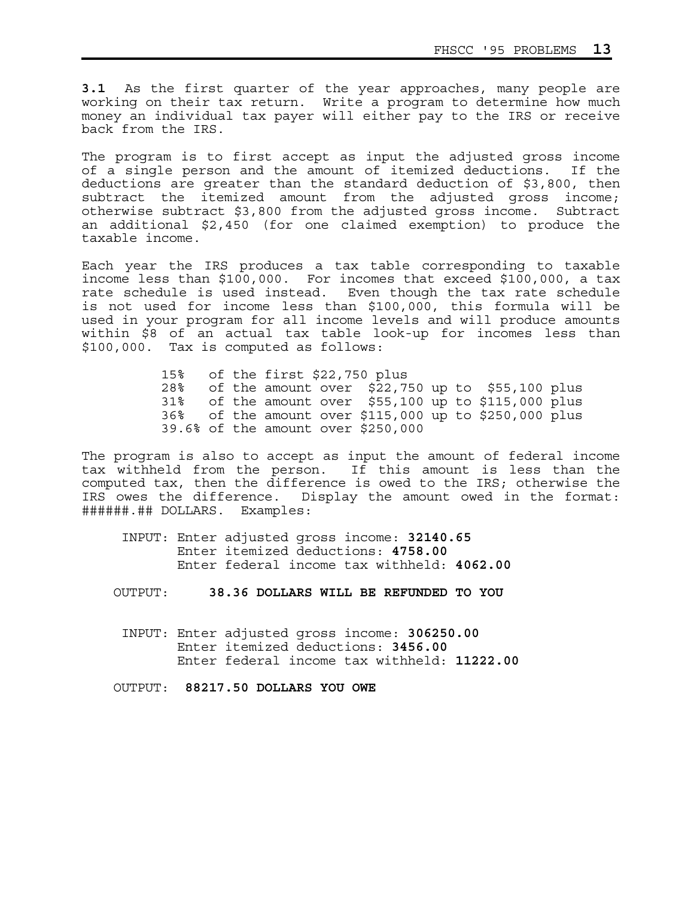**3.1** As the first quarter of the year approaches, many people are working on their tax return. Write a program to determine how much money an individual tax payer will either pay to the IRS or receive back from the IRS.

The program is to first accept as input the adjusted gross income of a single person and the amount of itemized deductions. If the deductions are greater than the standard deduction of \$3,800, then subtract the itemized amount from the adjusted gross income; otherwise subtract \$3,800 from the adjusted gross income. Subtract an additional \$2,450 (for one claimed exemption) to produce the taxable income.

Each year the IRS produces a tax table corresponding to taxable income less than \$100,000. For incomes that exceed \$100,000, a tax rate schedule is used instead. Even though the tax rate schedule is not used for income less than \$100,000, this formula will be used in your program for all income levels and will produce amounts within \$8 of an actual tax table look-up for incomes less than \$100,000. Tax is computed as follows:

> 15% of the first \$22,750 plus 28% of the amount over \$22,750 up to \$55,100 plus 31% of the amount over \$55,100 up to \$115,000 plus 36% of the amount over \$115,000 up to \$250,000 plus 39.6% of the amount over \$250,000

The program is also to accept as input the amount of federal income tax withheld from the person. If this amount is less than the computed tax, then the difference is owed to the IRS; otherwise the IRS owes the difference. Display the amount owed in the format: ######.## DOLLARS. Examples:

- INPUT: Enter adjusted gross income: **32140.65** Enter itemized deductions: **4758.00** Enter federal income tax withheld: **4062.00**
- OUTPUT: **38.36 DOLLARS WILL BE REFUNDED TO YOU**
- INPUT: Enter adjusted gross income: **306250.00** Enter itemized deductions: **3456.00** Enter federal income tax withheld: **11222.00**

OUTPUT: **88217.50 DOLLARS YOU OWE**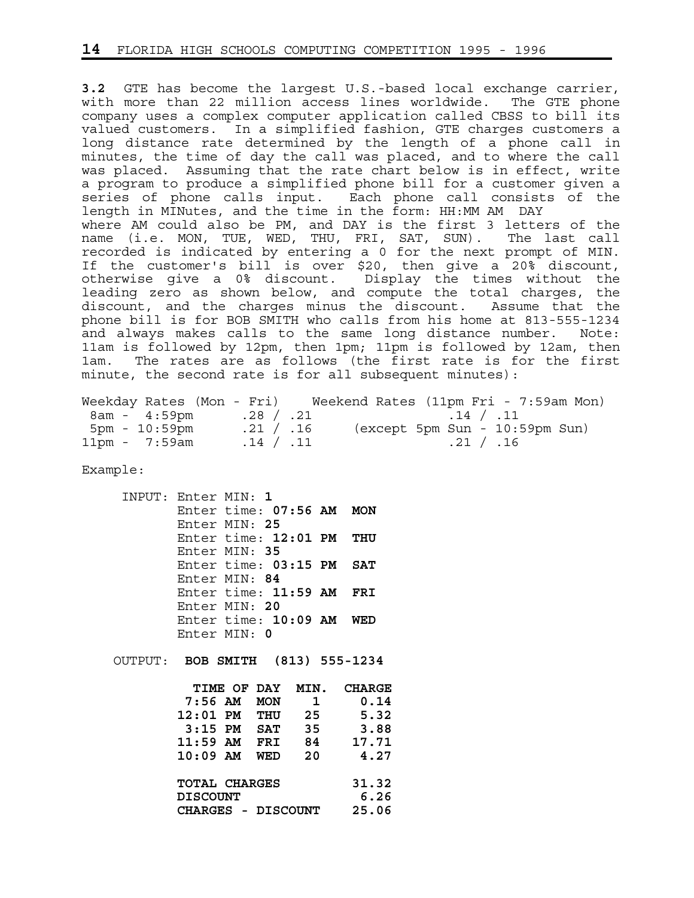**3.2** GTE has become the largest U.S.-based local exchange carrier, with more than 22 million access lines worldwide. The GTE phone company uses a complex computer application called CBSS to bill its valued customers. In a simplified fashion, GTE charges customers a long distance rate determined by the length of a phone call in minutes, the time of day the call was placed, and to where the call was placed. Assuming that the rate chart below is in effect, write a program to produce a simplified phone bill for a customer given a series of phone calls input. Each phone call consists of the length in MINutes, and the time in the form: HH:MM AM DAY where AM could also be PM, and DAY is the first 3 letters of the name (i.e. MON, TUE, WED, THU, FRI, SAT, SUN). The last call recorded is indicated by entering a 0 for the next prompt of MIN. If the customer's bill is over \$20, then give a 20% discount, otherwise give a 0% discount. Display the times without the leading zero as shown below, and compute the total charges, the discount, and the charges minus the discount. Assume that the phone bill is for BOB SMITH who calls from his home at 813-555-1234 and always makes calls to the same long distance number. Note: 11am is followed by 12pm, then 1pm; 11pm is followed by 12am, then 1am. The rates are as follows (the first rate is for the first minute, the second rate is for all subsequent minutes):

|                            |           | Weekday Rates (Mon - Fri) Weekend Rates (11pm Fri - 7:59am Mon) |
|----------------------------|-----------|-----------------------------------------------------------------|
| $8am - 4:59pm$ . 28 / . 21 |           | $.14$ $/$ $.11$                                                 |
| 5pm - 10:59pm              | .21 / .16 | (except 5pm Sun - 10:59pm Sun)                                  |
| $11pm - 7:59am$            | .14 / .11 | .21 / .16                                                       |

Example:

 INPUT: Enter MIN: **1** Enter time: **07:56 AM MON** Enter MIN: **25** Enter time: **12:01 PM THU** Enter MIN: **35** Enter time: **03:15 PM SAT** Enter MIN: **84** Enter time: **11:59 AM FRI** Enter MIN: **20** Enter time: **10:09 AM WED** Enter MIN: **0**

OUTPUT: **BOB SMITH (813) 555-1234** 

| TIME OF DAY        |            | MIN. | <b>CHARGE</b> |
|--------------------|------------|------|---------------|
| $7:56$ AM          | <b>MON</b> | 1    | 0.14          |
| $12:01$ PM         | THU        | 25   | 5.32          |
| $3:15$ PM          | <b>SAT</b> | 35   | 3.88          |
| $11:59$ AM         | FRI        | 84   | 17.71         |
| $10:09$ AM         | WED        | 20   | 4.27          |
|                    |            |      |               |
| TOTAL CHARGES      |            |      | 31.32         |
| DISCOUNT           |            |      | 6.26          |
| CHARGES - DISCOUNT |            |      | 25.06         |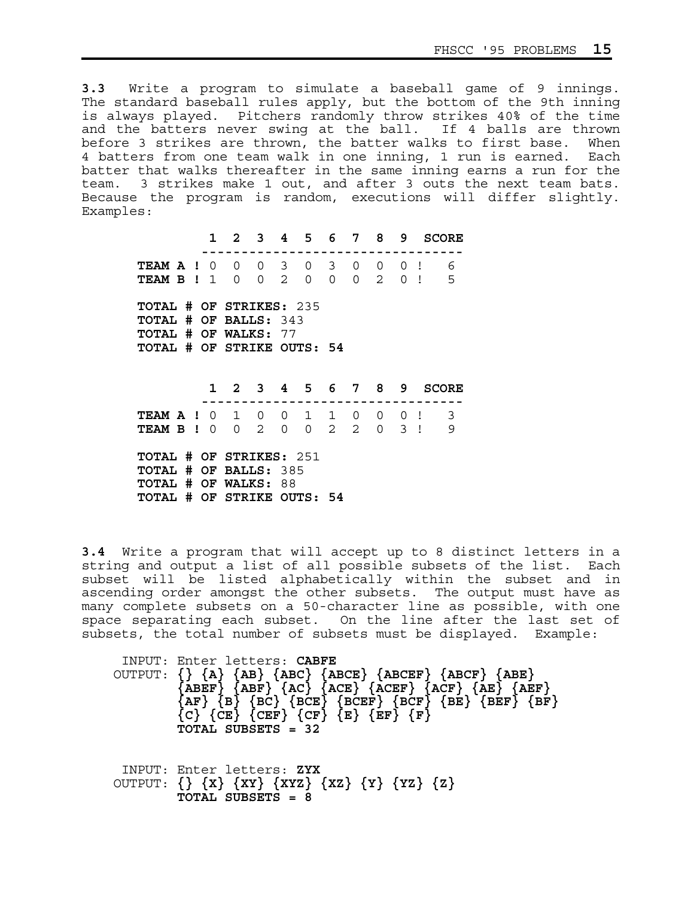**3.3** Write a program to simulate a baseball game of 9 innings. The standard baseball rules apply, but the bottom of the 9th inning is always played. Pitchers randomly throw strikes 40% of the time and the batters never swing at the ball. If 4 balls are thrown before 3 strikes are thrown, the batter walks to first base. When 4 batters from one team walk in one inning, 1 run is earned. Each batter that walks thereafter in the same inning earns a run for the team. 3 strikes make 1 out, and after 3 outs the next team bats. Because the program is random, executions will differ slightly. Examples:

 **1 2 3 4 5 6 7 8 9 SCORE --------------------------------- TEAM A !** 0 0 0 3 0 3 0 0 0 ! 6  **TEAM B !** 1 0 0 2 0 0 0 2 0 ! 5  **TOTAL # OF STRIKES:** 235  **TOTAL # OF BALLS:** 343  **TOTAL # OF WALKS:** 77  **TOTAL # OF STRIKE OUTS: 54**

 **1 2 3 4 5 6 7 8 9 SCORE --------------------------------- TEAM A !** 0 1 0 0 1 1 0 0 0 ! 3  **TEAM B !** 0 0 2 0 0 2 2 0 3 ! 9  **TOTAL # OF STRIKES:** 251  **TOTAL # OF BALLS:** 385  **TOTAL # OF WALKS:** 88  **TOTAL # OF STRIKE OUTS: 54**

**3.4** Write a program that will accept up to 8 distinct letters in a string and output a list of all possible subsets of the list. Each subset will be listed alphabetically within the subset and in ascending order amongst the other subsets. The output must have as many complete subsets on a 50-character line as possible, with one space separating each subset. On the line after the last set of subsets, the total number of subsets must be displayed. Example:

 INPUT: Enter letters: **CABFE** OUTPUT: **{} {A} {AB} {ABC} {ABCE} {ABCEF} {ABCF} {ABE}**   $\{ABEF\}$   $\{ABF\}$   $\{AC\}$   $\{ACEF\}$   $\{ACF\}$   $\{ACF\}$   $\{AEF\}$  ${AF}$   ${B}$   ${BC}$   ${BCE}$   ${BCEF}$   ${BCF}$   ${BE}$   ${BE}$   ${BEF}$   ${BF}$  ${c}$   ${c}$   ${c}$   ${c}$   ${c}$   ${c}$   ${c}$   ${c}$   ${c}$   ${c}$   ${c}$   ${c}$   ${c}$   ${c}$   ${c}$   ${c}$   ${c}$   ${c}$   ${c}$   ${c}$   ${c}$   ${c}$   ${c}$   ${c}$   ${c}$   ${c}$   ${c}$   ${c}$   ${c}$   ${c}$   ${c}$   ${c}$   ${c}$   ${c}$   ${c}$   ${c}$   ${c}$  **TOTAL SUBSETS = 32** 

 INPUT: Enter letters: **ZYX** OUTPUT: **{} {X} {XY} {XYZ} {XZ} {Y} {YZ} {Z} TOTAL SUBSETS = 8**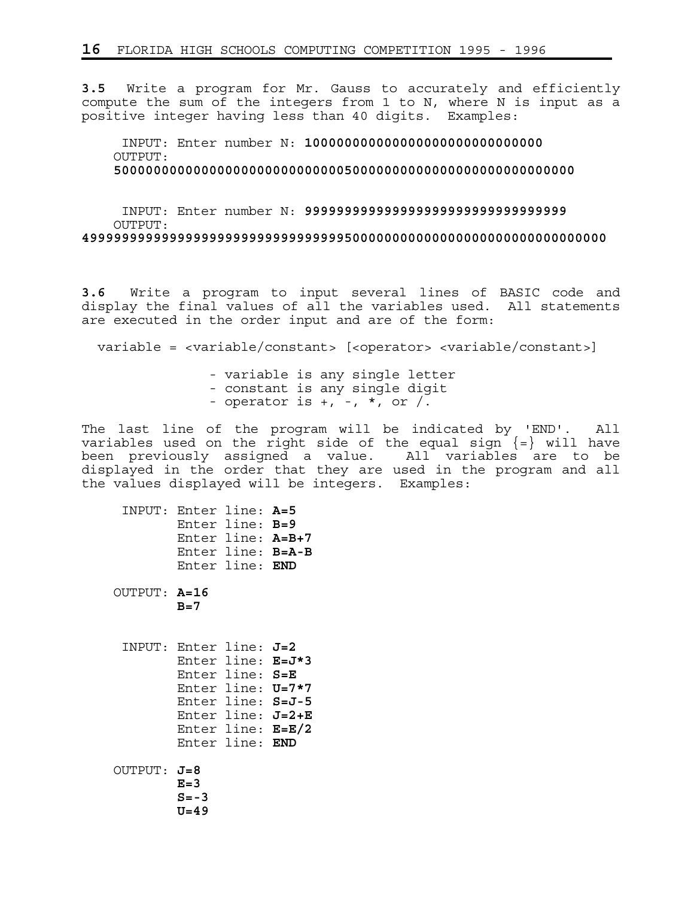**3.5** Write a program for Mr. Gauss to accurately and efficiently compute the sum of the integers from 1 to N, where N is input as a positive integer having less than 40 digits. Examples:

 INPUT: Enter number N: **100000000000000000000000000000** OUTPUT: **5000000000000000000000000000050000000000000000000000000000**

 INPUT: Enter number N: **999999999999999999999999999999999** OUTPUT: **499999999999999999999999999999999500000000000000000000000000000000**

**3.6** Write a program to input several lines of BASIC code and display the final values of all the variables used. All statements are executed in the order input and are of the form:

variable = <variable/constant> [<operator> <variable/constant>]

 - variable is any single letter - constant is any single digit - operator is  $+$ ,  $-$ ,  $*$ , or  $/$ .

The last line of the program will be indicated by 'END'. All variables used on the right side of the equal sign  $\{=\}$  will have been previously assigned a value. All variables are to be displayed in the order that they are used in the program and all the values displayed will be integers. Examples:

| INPUT: Enter line: A=5   |                               | Enter line: B=9<br>Enter line: A=B+7<br>Enter line: B=A-B<br>Enter line: END                                                                  |  |
|--------------------------|-------------------------------|-----------------------------------------------------------------------------------------------------------------------------------------------|--|
| OUTPUT: A=16             | $B=7$                         |                                                                                                                                               |  |
| INPUT: Enter line: $J=2$ |                               | Enter line: E=J*3<br>Enter line: S=E<br>Enter line: U=7*7<br>Enter line: S=J-5<br>Enter line: $J=2+E$<br>Enter line: E=E/2<br>Enter line: END |  |
| OUTPUT: $J=8$            | $E=3$<br>$S = -3$<br>$U = 49$ |                                                                                                                                               |  |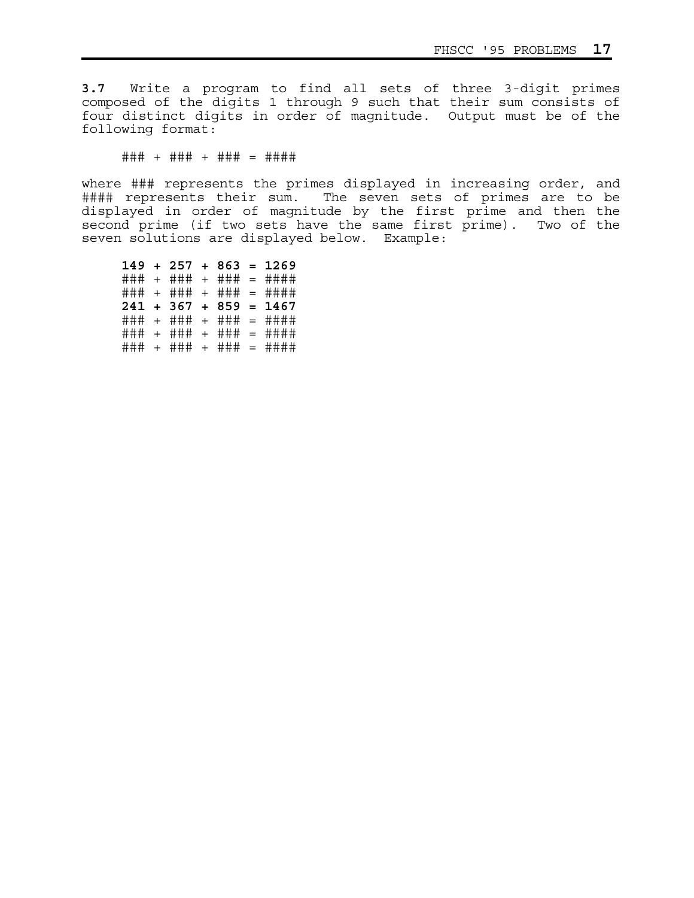**3.7** Write a program to find all sets of three 3-digit primes composed of the digits 1 through 9 such that their sum consists of four distinct digits in order of magnitude. Output must be of the following format:

### + ### + ### = ####

where ### represents the primes displayed in increasing order, and #### represents their sum. The seven sets of primes are to be displayed in order of magnitude by the first prime and then the second prime (if two sets have the same first prime). Two of the seven solutions are displayed below. Example:

 **149 + 257 + 863 = 1269** ### + ### + ### = #### ### + ### + ### = #### **241 + 367 + 859 = 1467** ### + ### + ### = #### ### + ### + ### = #### ### + ### + ### = ####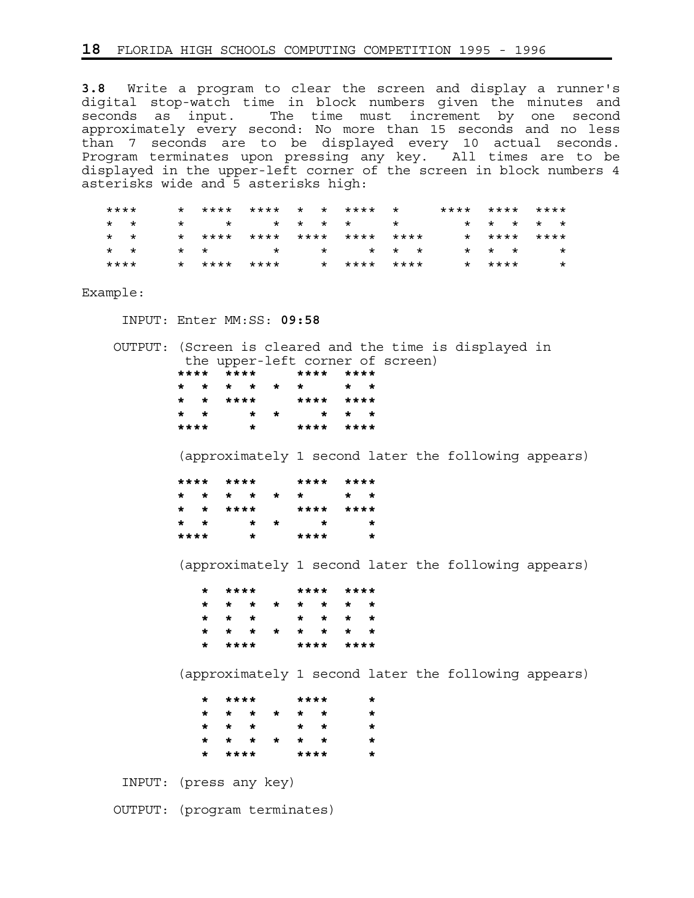**3.8** Write a program to clear the screen and display a runner's digital stop-watch time in block numbers given the minutes and seconds as input. The time must increment by one second approximately every second: No more than 15 seconds and no less than 7 seconds are to be displayed every 10 actual seconds. Program terminates upon pressing any key. All times are to be displayed in the upper-left corner of the screen in block numbers 4 asterisks wide and 5 asterisks high:

| ****            |  |  |  | * **** **** * * **** *     | **** **** **** |                         |             |         |
|-----------------|--|--|--|----------------------------|----------------|-------------------------|-------------|---------|
| $\star$ $\star$ |  |  |  | * * * * * * *              |                |                         | * * * * *   |         |
| $\star$ $\star$ |  |  |  | * **** **** **** **** **** |                |                         | * **** **** |         |
| $\star$ $\star$ |  |  |  | * * * * * * * *            |                | $\star$ $\star$ $\star$ |             |         |
| ****            |  |  |  | * **** **** * **** ****    |                | * ****                  |             | $\star$ |

Example:

INPUT: Enter MM:SS: **09:58**

 OUTPUT: (Screen is cleared and the time is displayed in the upper-left corner of screen)<br>\*\*\*\* \*\*\*\* \*\*\*\* \*\*\*\* **\*\*\*\* \*\*\*\* \*\*\*\* \*\*\*\* \* \* \* \* \* \* \* \* \* \* \*\*\*\* \*\*\*\* \*\*\*\* \* \* \* \* \* \* \* \*\*\*\* \* \*\*\*\* \*\*\*\***

(approximately 1 second later the following appears)

|                 | **** **** |          |         |     | **** ****   |                 |  |
|-----------------|-----------|----------|---------|-----|-------------|-----------------|--|
|                 |           |          |         |     | * * * * * * | $\star$ $\star$ |  |
|                 |           | * * **** |         |     | **** ****   |                 |  |
| $\star$ $\star$ |           |          |         | * * | $\star$     | *               |  |
| ****            |           |          | $\star$ |     | ****        |                 |  |

(approximately 1 second later the following appears)

|  |        | * **** **** **** |  |           |  |
|--|--------|------------------|--|-----------|--|
|  |        | * * * * * * * *  |  |           |  |
|  |        | * * * * * * *    |  |           |  |
|  |        | * * * * * * * *  |  |           |  |
|  | * **** |                  |  | **** **** |  |

(approximately 1 second later the following appears)

|  | * **** |             | ****            |  |
|--|--------|-------------|-----------------|--|
|  |        | * * * * * * |                 |  |
|  | * * *  |             | $\star$ $\star$ |  |
|  |        | * * * * * * |                 |  |
|  | * **** |             | ****            |  |

INPUT: (press any key)

OUTPUT: (program terminates)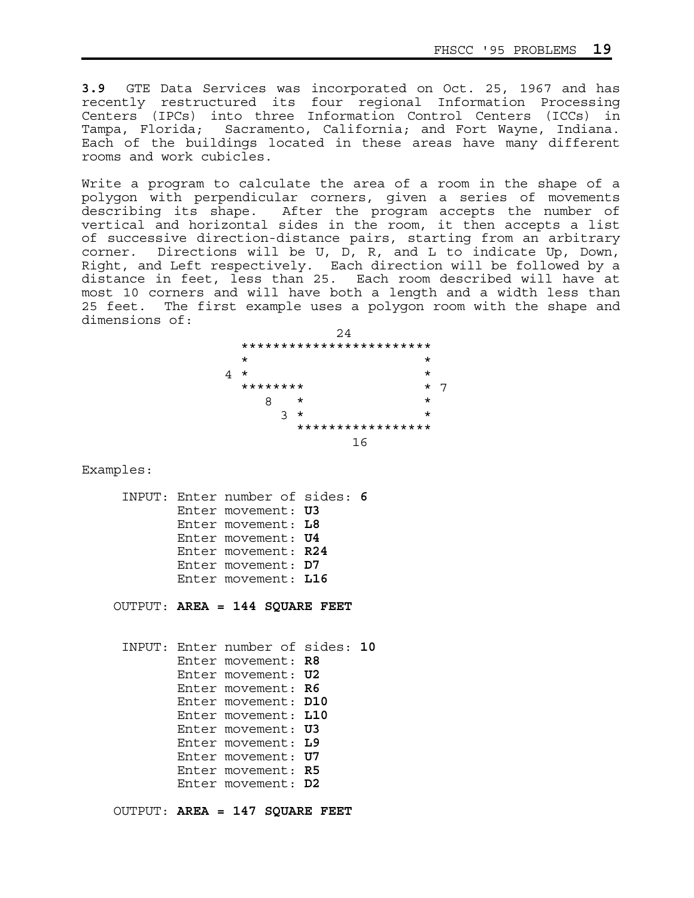**3.9** GTE Data Services was incorporated on Oct. 25, 1967 and has recently restructured its four regional Information Processing Centers (IPCs) into three Information Control Centers (ICCs) in Tampa, Florida; Sacramento, California; and Fort Wayne, Indiana. Each of the buildings located in these areas have many different rooms and work cubicles.

Write a program to calculate the area of a room in the shape of a polygon with perpendicular corners, given a series of movements describing its shape. After the program accepts the number of vertical and horizontal sides in the room, it then accepts a list of successive direction-distance pairs, starting from an arbitrary corner. Directions will be U, D, R, and L to indicate Up, Down, Right, and Left respectively. Each direction will be followed by a distance in feet, less than 25. Each room described will have at most 10 corners and will have both a length and a width less than 25 feet. The first example uses a polygon room with the shape and dimensions of:

|   |          | 24                       |         |  |
|---|----------|--------------------------|---------|--|
|   |          | ************************ |         |  |
|   | $\star$  |                          | *       |  |
| 4 | $^\star$ |                          | $\star$ |  |
|   | ******** |                          | *       |  |
|   | 8        | $^\star$                 | $\star$ |  |
|   | 3        | $^\star$                 | *       |  |
|   |          | *****************        |         |  |
|   |          | 16                       |         |  |

Examples:

```
 INPUT: Enter number of sides: 6
Enter movement: U3
Enter movement: L8 
Enter movement: U4
Enter movement: R24
Enter movement: D7 
Enter movement: L16
```
OUTPUT: **AREA = 144 SQUARE FEET**

 INPUT: Enter number of sides: **10** Enter movement: **R8** Enter movement: **U2** Enter movement: **R6** Enter movement: **D10** Enter movement: **L10** Enter movement: **U3** Enter movement: **L9** Enter movement: **U7** Enter movement: **R5** Enter movement: **D2**

OUTPUT: **AREA = 147 SQUARE FEET**